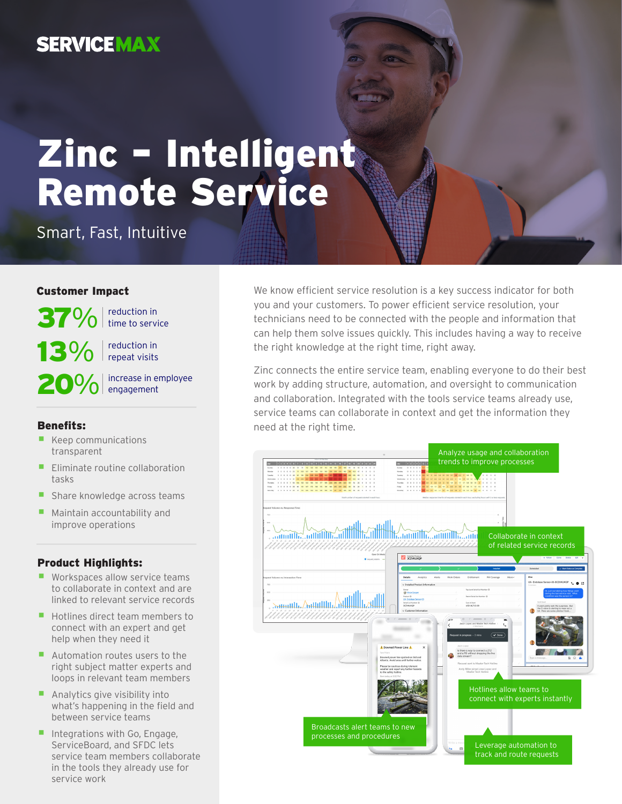## **SERVICEMAX**

# Zinc – Intelligent Remote Service

Smart, Fast, Intuitive

#### Customer Impact

 $37\%$  reduction in  $13\%$  reduction in

20% increase in employee

#### Benefits:

- Keep communications transparent
- **Eliminate routine collaboration** tasks
- Share knowledge across teams
- Maintain accountability and improve operations

#### Product Highlights:

- Workspaces allow service teams to collaborate in context and are linked to relevant service records
- Hotlines direct team members to connect with an expert and get help when they need it
- Automation routes users to the right subject matter experts and loops in relevant team members
- Analytics give visibility into what's happening in the field and between service teams
- **Integrations with Go, Engage,** ServiceBoard, and SFDC lets service team members collaborate in the tools they already use for service work

We know efficient service resolution is a key success indicator for both you and your customers. To power efficient service resolution, your technicians need to be connected with the people and information that can help them solve issues quickly. This includes having a way to receive the right knowledge at the right time, right away.

Zinc connects the entire service team, enabling everyone to do their best work by adding structure, automation, and oversight to communication and collaboration. Integrated with the tools service teams already use, service teams can collaborate in context and get the information they need at the right time.